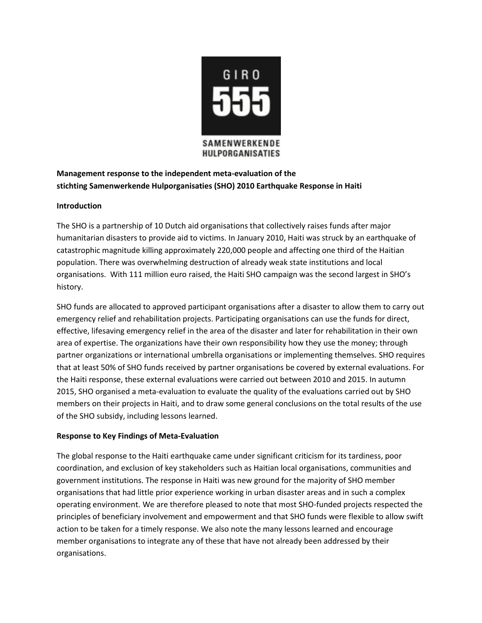

## **Management response to the independent meta-evaluation of the stichting Samenwerkende Hulporganisaties (SHO) 2010 Earthquake Response in Haiti**

## **Introduction**

The SHO is a partnership of 10 Dutch aid organisations that collectively raises funds after major humanitarian disasters to provide aid to victims. In January 2010, Haiti was struck by an earthquake of catastrophic magnitude killing approximately 220,000 people and affecting one third of the Haitian population. There was overwhelming destruction of already weak state institutions and local organisations. With 111 million euro raised, the Haiti SHO campaign was the second largest in SHO's history.

SHO funds are allocated to approved participant organisations after a disaster to allow them to carry out emergency relief and rehabilitation projects. Participating organisations can use the funds for direct, effective, lifesaving emergency relief in the area of the disaster and later for rehabilitation in their own area of expertise. The organizations have their own responsibility how they use the money; through partner organizations or international umbrella organisations or implementing themselves. SHO requires that at least 50% of SHO funds received by partner organisations be covered by external evaluations. For the Haiti response, these external evaluations were carried out between 2010 and 2015. In autumn 2015, SHO organised a meta-evaluation to evaluate the quality of the evaluations carried out by SHO members on their projects in Haiti, and to draw some general conclusions on the total results of the use of the SHO subsidy, including lessons learned.

## **Response to Key Findings of Meta-Evaluation**

The global response to the Haiti earthquake came under significant criticism for its tardiness, poor coordination, and exclusion of key stakeholders such as Haitian local organisations, communities and government institutions. The response in Haiti was new ground for the majority of SHO member organisations that had little prior experience working in urban disaster areas and in such a complex operating environment. We are therefore pleased to note that most SHO-funded projects respected the principles of beneficiary involvement and empowerment and that SHO funds were flexible to allow swift action to be taken for a timely response. We also note the many lessons learned and encourage member organisations to integrate any of these that have not already been addressed by their organisations.